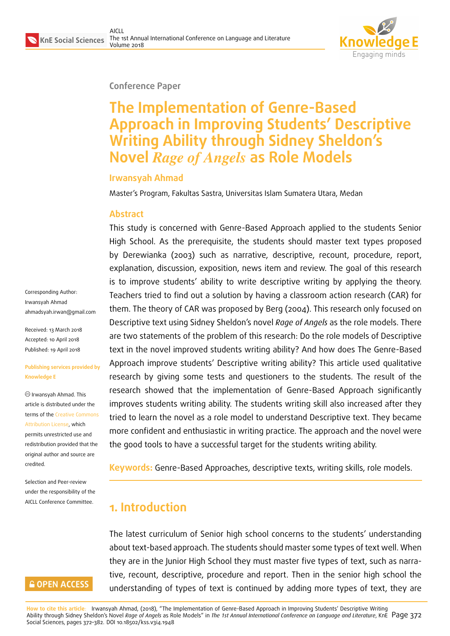

#### **Conference Paper**

# **The Implementation of Genre-Based Approach in Improving Students' Descriptive Writing Ability through Sidney Sheldon's Novel** *Rage of Angels* **as Role Models**

#### **Irwansyah Ahmad**

Master's Program, Fakultas Sastra, Universitas Islam Sumatera Utara, Medan

#### **Abstract**

This study is concerned with Genre-Based Approach applied to the students Senior High School. As the prerequisite, the students should master text types proposed by Derewianka (2003) such as narrative, descriptive, recount, procedure, report, explanation, discussion, exposition, news item and review. The goal of this research is to improve students' ability to write descriptive writing by applying the theory. Teachers tried to find out a solution by having a classroom action research (CAR) for them. The theory of CAR was proposed by Berg (2004). This research only focused on Descriptive text using Sidney Sheldon's novel *Rage of Angels* as the role models. There are two statements of the problem of this research: Do the role models of Descriptive text in the novel improved students writing ability? And how does The Genre-Based Approach improve students' Descriptive writing ability? This article used qualitative research by giving some tests and questioners to the students. The result of the research showed that the implementation of Genre-Based Approach significantly improves students writing ability. The students writing skill also increased after they tried to learn the novel as a role model to understand Descriptive text. They became more confident and enthusiastic in writing practice. The approach and the novel were the good tools to have a successful target for the students writing ability.

**Keywords:** Genre-Based Approaches, descriptive texts, writing skills, role models.

# **1. Introduction**

The latest curriculum of Senior high school concerns to the students' understanding about text-based approach. The students should master some types of text well. When they are in the Junior High School they must master five types of text, such as narrative, recount, descriptive, procedure and report. Then in the senior high school the understanding of types of text is continued by adding more types of text, they are

Corresponding Author: Irwansyah Ahmad ahmadsyah.irwan@gmail.com

Received: 13 March 2018 Accepted: 10 April 2018 [Published: 19 April 2018](mailto:ahmadsyah.irwan@gmail.com)

#### **Publishing services provided by Knowledge E**

Irwansyah Ahmad. This article is distributed under the terms of the Creative Commons Attribution License, which permits unrestricted use and redistribution provided that the original auth[or and source are](https://creativecommons.org/licenses/by/4.0/) [credited.](https://creativecommons.org/licenses/by/4.0/)

Selection and Peer-review under the responsibility of the AICLL Conference Committee.

## **GOPEN ACCESS**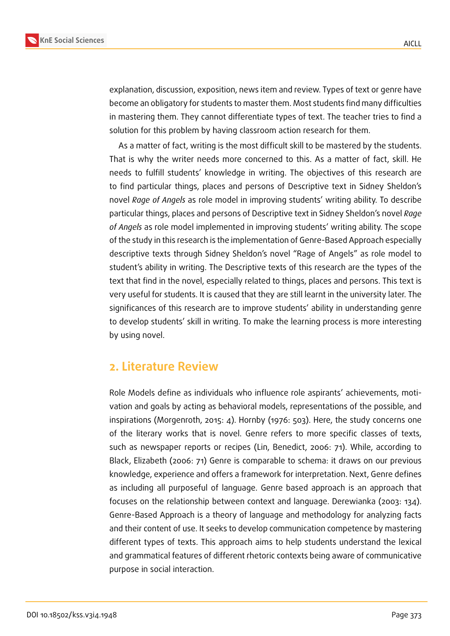

explanation, discussion, exposition, news item and review. Types of text or genre have become an obligatory for students to master them. Most students find many difficulties in mastering them. They cannot differentiate types of text. The teacher tries to find a solution for this problem by having classroom action research for them.

As a matter of fact, writing is the most difficult skill to be mastered by the students. That is why the writer needs more concerned to this. As a matter of fact, skill. He needs to fulfill students' knowledge in writing. The objectives of this research are to find particular things, places and persons of Descriptive text in Sidney Sheldon's novel *Rage of Angels* as role model in improving students' writing ability. To describe particular things, places and persons of Descriptive text in Sidney Sheldon's novel *Rage of Angels* as role model implemented in improving students' writing ability. The scope of the study in this research is the implementation of Genre-Based Approach especially descriptive texts through Sidney Sheldon's novel "Rage of Angels" as role model to student's ability in writing. The Descriptive texts of this research are the types of the text that find in the novel, especially related to things, places and persons. This text is very useful for students. It is caused that they are still learnt in the university later. The significances of this research are to improve students' ability in understanding genre to develop students' skill in writing. To make the learning process is more interesting by using novel.

# **2. Literature Review**

Role Models define as individuals who influence role aspirants' achievements, motivation and goals by acting as behavioral models, representations of the possible, and inspirations (Morgenroth, 2015: 4). Hornby (1976: 503). Here, the study concerns one of the literary works that is novel. Genre refers to more specific classes of texts, such as newspaper reports or recipes (Lin, Benedict, 2006: 71). While, according to Black, Elizabeth (2006: 71) Genre is comparable to schema: it draws on our previous knowledge, experience and offers a framework for interpretation. Next, Genre defines as including all purposeful of language. Genre based approach is an approach that focuses on the relationship between context and language. Derewianka (2003: 134). Genre-Based Approach is a theory of language and methodology for analyzing facts and their content of use. It seeks to develop communication competence by mastering different types of texts. This approach aims to help students understand the lexical and grammatical features of different rhetoric contexts being aware of communicative purpose in social interaction.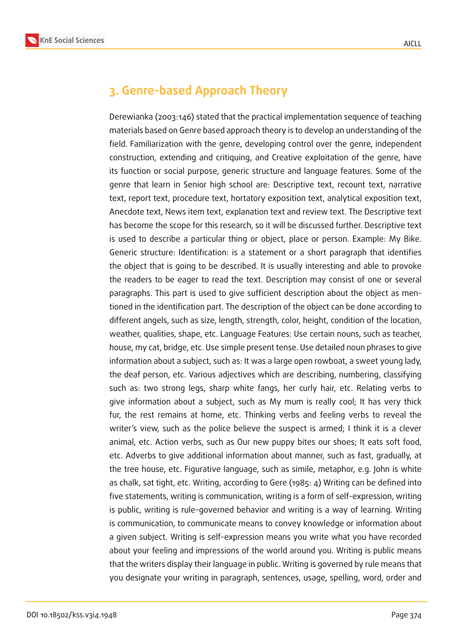

# **3. Genre-based Approach Theory**

Derewianka (2003:146) stated that the practical implementation sequence of teaching materials based on Genre based approach theory is to develop an understanding of the field. Familiarization with the genre, developing control over the genre, independent construction, extending and critiquing, and Creative exploitation of the genre, have its function or social purpose, generic structure and language features. Some of the genre that learn in Senior high school are: Descriptive text, recount text, narrative text, report text, procedure text, hortatory exposition text, analytical exposition text, Anecdote text, News item text, explanation text and review text. The Descriptive text has become the scope for this research, so it will be discussed further. Descriptive text is used to describe a particular thing or object, place or person. Example: My Bike. Generic structure: Identification: is a statement or a short paragraph that identifies the object that is going to be described. It is usually interesting and able to provoke the readers to be eager to read the text. Description may consist of one or several paragraphs. This part is used to give sufficient description about the object as mentioned in the identification part. The description of the object can be done according to different angels, such as size, length, strength, color, height, condition of the location, weather, qualities, shape, etc. Language Features: Use certain nouns, such as teacher, house, my cat, bridge, etc. Use simple present tense. Use detailed noun phrases to give information about a subject, such as: It was a large open rowboat, a sweet young lady, the deaf person, etc. Various adjectives which are describing, numbering, classifying such as: two strong legs, sharp white fangs, her curly hair, etc. Relating verbs to give information about a subject, such as My mum is really cool; It has very thick fur, the rest remains at home, etc. Thinking verbs and feeling verbs to reveal the writer's view, such as the police believe the suspect is armed; I think it is a clever animal, etc. Action verbs, such as Our new puppy bites our shoes; It eats soft food, etc. Adverbs to give additional information about manner, such as fast, gradually, at the tree house, etc. Figurative language, such as simile, metaphor, e.g. John is white as chalk, sat tight, etc. Writing, according to Gere (1985: 4) Writing can be defined into five statements, writing is communication, writing is a form of self-expression, writing is public, writing is rule-governed behavior and writing is a way of learning. Writing is communication, to communicate means to convey knowledge or information about a given subject. Writing is self-expression means you write what you have recorded about your feeling and impressions of the world around you. Writing is public means that the writers display their language in public. Writing is governed by rule means that you designate your writing in paragraph, sentences, usage, spelling, word, order and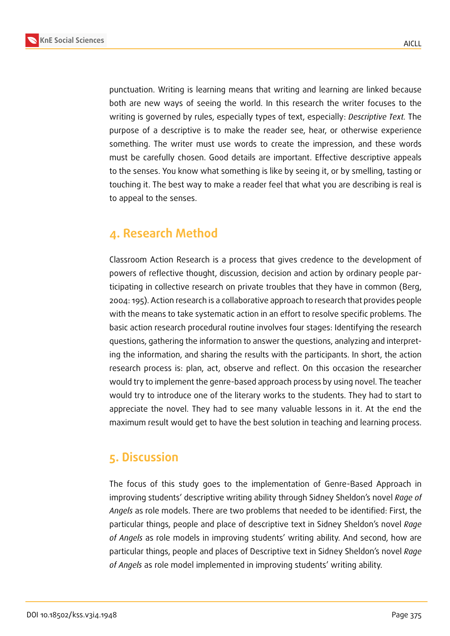

punctuation. Writing is learning means that writing and learning are linked because both are new ways of seeing the world. In this research the writer focuses to the writing is governed by rules, especially types of text, especially: *Descriptive Text.* The purpose of a descriptive is to make the reader see, hear, or otherwise experience something. The writer must use words to create the impression, and these words must be carefully chosen. Good details are important. Effective descriptive appeals to the senses. You know what something is like by seeing it, or by smelling, tasting or touching it. The best way to make a reader feel that what you are describing is real is to appeal to the senses.

# **4. Research Method**

Classroom Action Research is a process that gives credence to the development of powers of reflective thought, discussion, decision and action by ordinary people participating in collective research on private troubles that they have in common (Berg, 2004: 195). Action research is a collaborative approach to research that provides people with the means to take systematic action in an effort to resolve specific problems. The basic action research procedural routine involves four stages: Identifying the research questions, gathering the information to answer the questions, analyzing and interpreting the information, and sharing the results with the participants. In short, the action research process is: plan, act, observe and reflect. On this occasion the researcher would try to implement the genre-based approach process by using novel. The teacher would try to introduce one of the literary works to the students. They had to start to appreciate the novel. They had to see many valuable lessons in it. At the end the maximum result would get to have the best solution in teaching and learning process.

# **5. Discussion**

The focus of this study goes to the implementation of Genre-Based Approach in improving students' descriptive writing ability through Sidney Sheldon's novel *Rage of Angels* as role models. There are two problems that needed to be identified: First, the particular things, people and place of descriptive text in Sidney Sheldon's novel *Rage of Angels* as role models in improving students' writing ability. And second, how are particular things, people and places of Descriptive text in Sidney Sheldon's novel *Rage of Angels* as role model implemented in improving students' writing ability.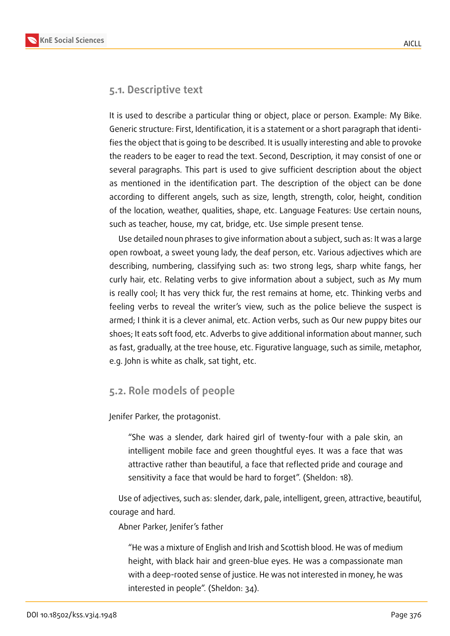

### **5.1. Descriptive text**

It is used to describe a particular thing or object, place or person. Example: My Bike. Generic structure: First, Identification, it is a statement or a short paragraph that identifies the object that is going to be described. It is usually interesting and able to provoke the readers to be eager to read the text. Second, Description, it may consist of one or several paragraphs. This part is used to give sufficient description about the object as mentioned in the identification part. The description of the object can be done according to different angels, such as size, length, strength, color, height, condition of the location, weather, qualities, shape, etc. Language Features: Use certain nouns, such as teacher, house, my cat, bridge, etc. Use simple present tense.

Use detailed noun phrases to give information about a subject, such as: It was a large open rowboat, a sweet young lady, the deaf person, etc. Various adjectives which are describing, numbering, classifying such as: two strong legs, sharp white fangs, her curly hair, etc. Relating verbs to give information about a subject, such as My mum is really cool; It has very thick fur, the rest remains at home, etc. Thinking verbs and feeling verbs to reveal the writer's view, such as the police believe the suspect is armed; I think it is a clever animal, etc. Action verbs, such as Our new puppy bites our shoes; It eats soft food, etc. Adverbs to give additional information about manner, such as fast, gradually, at the tree house, etc. Figurative language, such as simile, metaphor, e.g. John is white as chalk, sat tight, etc.

### **5.2. Role models of people**

Jenifer Parker, the protagonist.

"She was a slender, dark haired girl of twenty-four with a pale skin, an intelligent mobile face and green thoughtful eyes. It was a face that was attractive rather than beautiful, a face that reflected pride and courage and sensitivity a face that would be hard to forget". (Sheldon: 18).

Use of adjectives, such as: slender, dark, pale, intelligent, green, attractive, beautiful, courage and hard.

Abner Parker, Jenifer's father

"He was a mixture of English and Irish and Scottish blood. He was of medium height, with black hair and green-blue eyes. He was a compassionate man with a deep-rooted sense of justice. He was not interested in money, he was interested in people". (Sheldon: 34).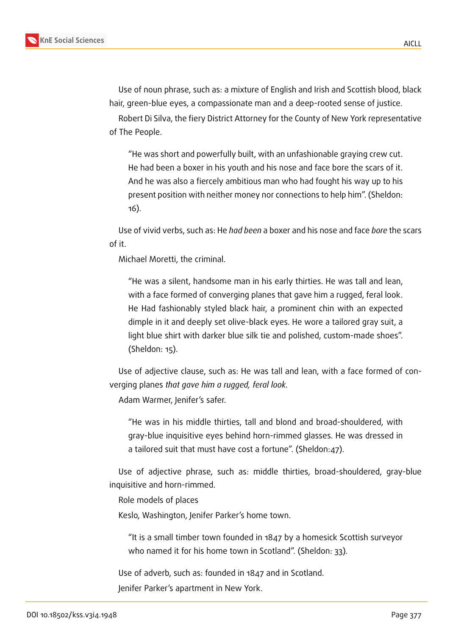Use of noun phrase, such as: a mixture of English and Irish and Scottish blood, black hair, green-blue eyes, a compassionate man and a deep-rooted sense of justice.

Robert Di Silva, the fiery District Attorney for the County of New York representative of The People.

"He was short and powerfully built, with an unfashionable graying crew cut. He had been a boxer in his youth and his nose and face bore the scars of it. And he was also a fiercely ambitious man who had fought his way up to his present position with neither money nor connections to help him". (Sheldon: 16).

Use of vivid verbs, such as: He *had been* a boxer and his nose and face *bore* the scars of it.

Michael Moretti, the criminal.

"He was a silent, handsome man in his early thirties. He was tall and lean, with a face formed of converging planes that gave him a rugged, feral look. He Had fashionably styled black hair, a prominent chin with an expected dimple in it and deeply set olive-black eyes. He wore a tailored gray suit, a light blue shirt with darker blue silk tie and polished, custom-made shoes". (Sheldon: 15).

Use of adjective clause, such as: He was tall and lean, with a face formed of converging planes *that gave him a rugged, feral look.*

Adam Warmer, Jenifer's safer.

"He was in his middle thirties, tall and blond and broad-shouldered, with gray-blue inquisitive eyes behind horn-rimmed glasses. He was dressed in a tailored suit that must have cost a fortune". (Sheldon:47).

Use of adjective phrase, such as: middle thirties, broad-shouldered, gray-blue inquisitive and horn-rimmed.

Role models of places

Keslo, Washington, Jenifer Parker's home town.

"It is a small timber town founded in 1847 by a homesick Scottish surveyor who named it for his home town in Scotland". (Sheldon: 33).

Use of adverb, such as: founded in 1847 and in Scotland.

Jenifer Parker's apartment in New York.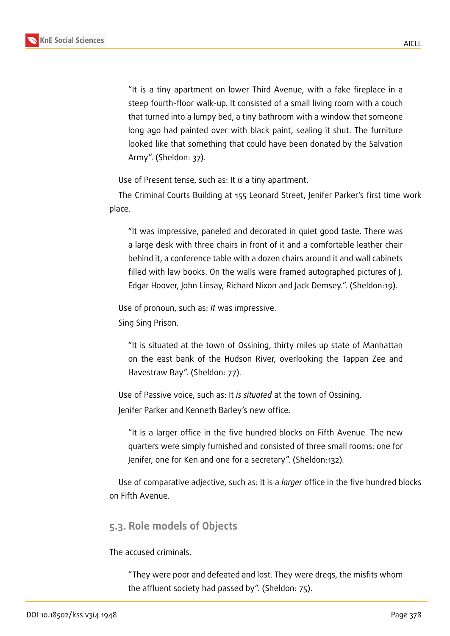

"It is a tiny apartment on lower Third Avenue, with a fake fireplace in a steep fourth-floor walk-up. It consisted of a small living room with a couch that turned into a lumpy bed, a tiny bathroom with a window that someone long ago had painted over with black paint, sealing it shut. The furniture looked like that something that could have been donated by the Salvation Army". (Sheldon: 37).

Use of Present tense, such as: It *is* a tiny apartment.

The Criminal Courts Building at 155 Leonard Street, Jenifer Parker's first time work place.

"It was impressive, paneled and decorated in quiet good taste. There was a large desk with three chairs in front of it and a comfortable leather chair behind it, a conference table with a dozen chairs around it and wall cabinets filled with law books. On the walls were framed autographed pictures of J. Edgar Hoover, John Linsay, Richard Nixon and Jack Demsey.". (Sheldon:19).

Use of pronoun, such as: *It* was impressive.

Sing Sing Prison.

"It is situated at the town of Ossining, thirty miles up state of Manhattan on the east bank of the Hudson River, overlooking the Tappan Zee and Havestraw Bay". (Sheldon: 77).

Use of Passive voice, such as: It *is situated* at the town of Ossining. Jenifer Parker and Kenneth Barley's new office.

"It is a larger office in the five hundred blocks on Fifth Avenue. The new quarters were simply furnished and consisted of three small rooms: one for Jenifer, one for Ken and one for a secretary". (Sheldon:132).

Use of comparative adjective, such as: It is a *larger* office in the five hundred blocks on Fifth Avenue.

## **5.3. Role models of Objects**

The accused criminals.

"They were poor and defeated and lost. They were dregs, the misfits whom the affluent society had passed by". (Sheldon: 75).

AICLL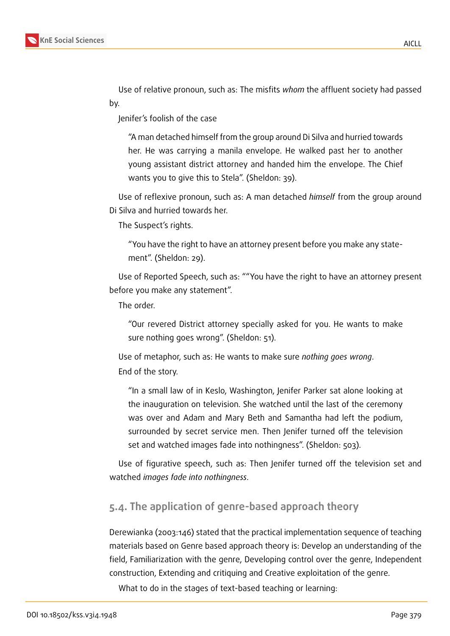

Use of relative pronoun, such as: The misfits *whom* the affluent society had passed by.

Jenifer's foolish of the case

"A man detached himself from the group around Di Silva and hurried towards her. He was carrying a manila envelope. He walked past her to another young assistant district attorney and handed him the envelope. The Chief wants you to give this to Stela". (Sheldon: 39).

Use of reflexive pronoun, such as: A man detached *himself* from the group around Di Silva and hurried towards her.

The Suspect's rights.

"You have the right to have an attorney present before you make any statement". (Sheldon: 29).

Use of Reported Speech, such as: ""You have the right to have an attorney present before you make any statement".

The order.

"Our revered District attorney specially asked for you. He wants to make sure nothing goes wrong". (Sheldon: 51).

Use of metaphor, such as: He wants to make sure *nothing goes wrong*. End of the story.

"In a small law of in Keslo, Washington, Jenifer Parker sat alone looking at the inauguration on television. She watched until the last of the ceremony was over and Adam and Mary Beth and Samantha had left the podium, surrounded by secret service men. Then Jenifer turned off the television set and watched images fade into nothingness". (Sheldon: 503).

Use of figurative speech, such as: Then Jenifer turned off the television set and watched *images fade into nothingness*.

## **5.4. The application of genre-based approach theory**

Derewianka (2003:146) stated that the practical implementation sequence of teaching materials based on Genre based approach theory is: Develop an understanding of the field, Familiarization with the genre, Developing control over the genre, Independent construction, Extending and critiquing and Creative exploitation of the genre.

What to do in the stages of text-based teaching or learning: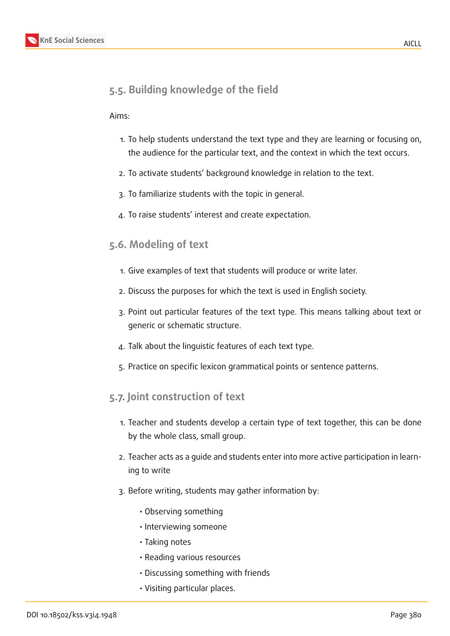# **5.5. Building knowledge of the field**

### Aims:

- 1. To help students understand the text type and they are learning or focusing on, the audience for the particular text, and the context in which the text occurs.
- 2. To activate students' background knowledge in relation to the text.
- 3. To familiarize students with the topic in general.
- 4. To raise students' interest and create expectation.

## **5.6. Modeling of text**

- 1. Give examples of text that students will produce or write later.
- 2. Discuss the purposes for which the text is used in English society.
- 3. Point out particular features of the text type. This means talking about text or generic or schematic structure.
- 4. Talk about the linguistic features of each text type.
- 5. Practice on specific lexicon grammatical points or sentence patterns.

## **5.7. Joint construction of text**

- 1. Teacher and students develop a certain type of text together, this can be done by the whole class, small group.
- 2. Teacher acts as a guide and students enter into more active participation in learning to write
- 3. Before writing, students may gather information by:
	- Observing something
	- Interviewing someone
	- Taking notes
	- Reading various resources
	- Discussing something with friends
	- Visiting particular places.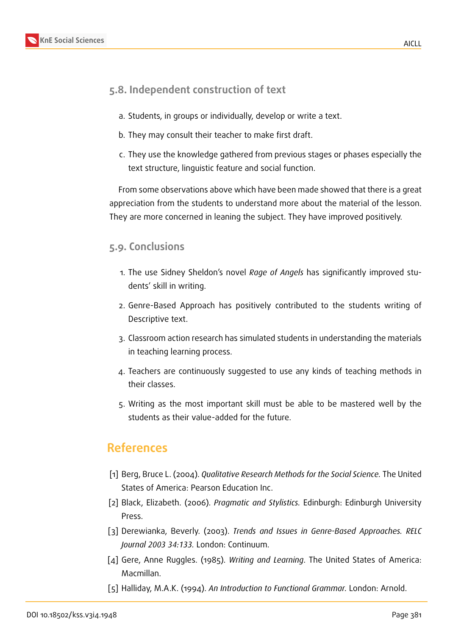## **5.8. Independent construction of text**

- a. Students, in groups or individually, develop or write a text.
- b. They may consult their teacher to make first draft.
- c. They use the knowledge gathered from previous stages or phases especially the text structure, linguistic feature and social function.

From some observations above which have been made showed that there is a great appreciation from the students to understand more about the material of the lesson. They are more concerned in leaning the subject. They have improved positively.

### **5.9. Conclusions**

- 1. The use Sidney Sheldon's novel *Rage of Angels* has significantly improved students' skill in writing.
- 2. Genre-Based Approach has positively contributed to the students writing of Descriptive text.
- 3. Classroom action research has simulated students in understanding the materials in teaching learning process.
- 4. Teachers are continuously suggested to use any kinds of teaching methods in their classes.
- 5. Writing as the most important skill must be able to be mastered well by the students as their value-added for the future.

# **References**

- [1] Berg, Bruce L. (2004). *Qualitative Research Methods for the Social Science.* The United States of America: Pearson Education Inc.
- [2] Black, Elizabeth. (2006). *Pragmatic and Stylistics.* Edinburgh: Edinburgh University Press.
- [3] Derewianka, Beverly. (2003). *Trends and Issues in Genre-Based Approaches. RELC Journal 2003 34:133.* London: Continuum.
- [4] Gere, Anne Ruggles. (1985). *Writing and Learning*. The United States of America: Macmillan.
- [5] Halliday, M.A.K. (1994). *An Introduction to Functional Grammar.* London: Arnold.